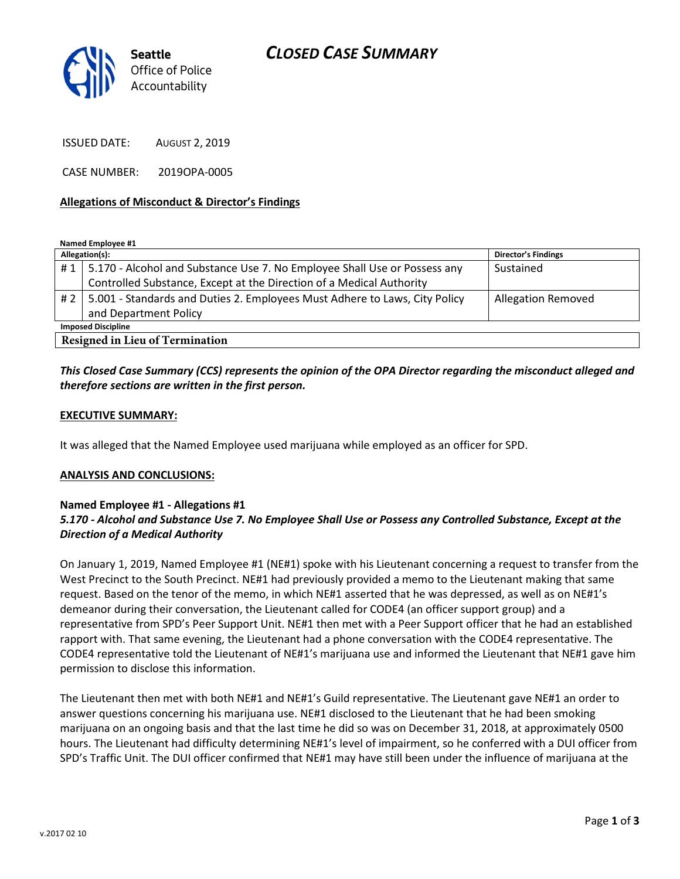

ISSUED DATE: AUGUST 2, 2019

CASE NUMBER: 2019OPA-0005

#### Allegations of Misconduct & Director's Findings

Named Employee #1

| Allegation(s):                         |                                                                                  | <b>Director's Findings</b> |
|----------------------------------------|----------------------------------------------------------------------------------|----------------------------|
|                                        | #1   5.170 - Alcohol and Substance Use 7. No Employee Shall Use or Possess any   | Sustained                  |
|                                        | Controlled Substance, Except at the Direction of a Medical Authority             |                            |
|                                        | # 2   5.001 - Standards and Duties 2. Employees Must Adhere to Laws, City Policy | <b>Allegation Removed</b>  |
|                                        | and Department Policy                                                            |                            |
| <b>Imposed Discipline</b>              |                                                                                  |                            |
| <b>Resigned in Lieu of Termination</b> |                                                                                  |                            |

## This Closed Case Summary (CCS) represents the opinion of the OPA Director regarding the misconduct alleged and therefore sections are written in the first person.

#### EXECUTIVE SUMMARY:

It was alleged that the Named Employee used marijuana while employed as an officer for SPD.

#### ANALYSIS AND CONCLUSIONS:

### Named Employee #1 - Allegations #1

## 5.170 - Alcohol and Substance Use 7. No Employee Shall Use or Possess any Controlled Substance, Except at the Direction of a Medical Authority

On January 1, 2019, Named Employee #1 (NE#1) spoke with his Lieutenant concerning a request to transfer from the West Precinct to the South Precinct. NE#1 had previously provided a memo to the Lieutenant making that same request. Based on the tenor of the memo, in which NE#1 asserted that he was depressed, as well as on NE#1's demeanor during their conversation, the Lieutenant called for CODE4 (an officer support group) and a representative from SPD's Peer Support Unit. NE#1 then met with a Peer Support officer that he had an established rapport with. That same evening, the Lieutenant had a phone conversation with the CODE4 representative. The CODE4 representative told the Lieutenant of NE#1's marijuana use and informed the Lieutenant that NE#1 gave him permission to disclose this information.

The Lieutenant then met with both NE#1 and NE#1's Guild representative. The Lieutenant gave NE#1 an order to answer questions concerning his marijuana use. NE#1 disclosed to the Lieutenant that he had been smoking marijuana on an ongoing basis and that the last time he did so was on December 31, 2018, at approximately 0500 hours. The Lieutenant had difficulty determining NE#1's level of impairment, so he conferred with a DUI officer from SPD's Traffic Unit. The DUI officer confirmed that NE#1 may have still been under the influence of marijuana at the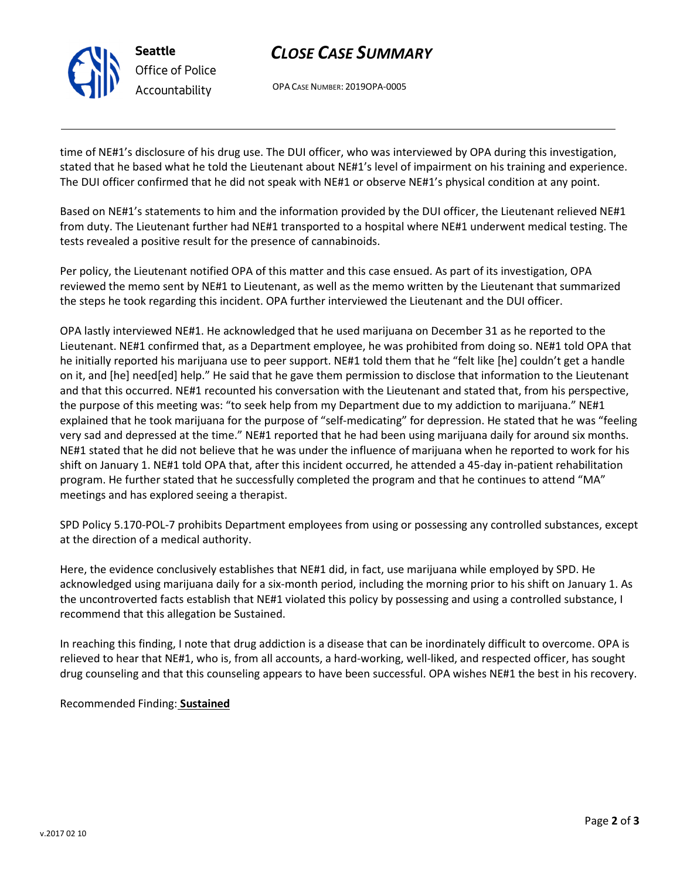

# CLOSE CASE SUMMARY

OPA CASE NUMBER: 2019OPA-0005

time of NE#1's disclosure of his drug use. The DUI officer, who was interviewed by OPA during this investigation, stated that he based what he told the Lieutenant about NE#1's level of impairment on his training and experience. The DUI officer confirmed that he did not speak with NE#1 or observe NE#1's physical condition at any point.

Based on NE#1's statements to him and the information provided by the DUI officer, the Lieutenant relieved NE#1 from duty. The Lieutenant further had NE#1 transported to a hospital where NE#1 underwent medical testing. The tests revealed a positive result for the presence of cannabinoids.

Per policy, the Lieutenant notified OPA of this matter and this case ensued. As part of its investigation, OPA reviewed the memo sent by NE#1 to Lieutenant, as well as the memo written by the Lieutenant that summarized the steps he took regarding this incident. OPA further interviewed the Lieutenant and the DUI officer.

OPA lastly interviewed NE#1. He acknowledged that he used marijuana on December 31 as he reported to the Lieutenant. NE#1 confirmed that, as a Department employee, he was prohibited from doing so. NE#1 told OPA that he initially reported his marijuana use to peer support. NE#1 told them that he "felt like [he] couldn't get a handle on it, and [he] need[ed] help." He said that he gave them permission to disclose that information to the Lieutenant and that this occurred. NE#1 recounted his conversation with the Lieutenant and stated that, from his perspective, the purpose of this meeting was: "to seek help from my Department due to my addiction to marijuana." NE#1 explained that he took marijuana for the purpose of "self-medicating" for depression. He stated that he was "feeling very sad and depressed at the time." NE#1 reported that he had been using marijuana daily for around six months. NE#1 stated that he did not believe that he was under the influence of marijuana when he reported to work for his shift on January 1. NE#1 told OPA that, after this incident occurred, he attended a 45-day in-patient rehabilitation program. He further stated that he successfully completed the program and that he continues to attend "MA" meetings and has explored seeing a therapist.

SPD Policy 5.170-POL-7 prohibits Department employees from using or possessing any controlled substances, except at the direction of a medical authority.

Here, the evidence conclusively establishes that NE#1 did, in fact, use marijuana while employed by SPD. He acknowledged using marijuana daily for a six-month period, including the morning prior to his shift on January 1. As the uncontroverted facts establish that NE#1 violated this policy by possessing and using a controlled substance, I recommend that this allegation be Sustained.

In reaching this finding, I note that drug addiction is a disease that can be inordinately difficult to overcome. OPA is relieved to hear that NE#1, who is, from all accounts, a hard-working, well-liked, and respected officer, has sought drug counseling and that this counseling appears to have been successful. OPA wishes NE#1 the best in his recovery.

Recommended Finding: Sustained